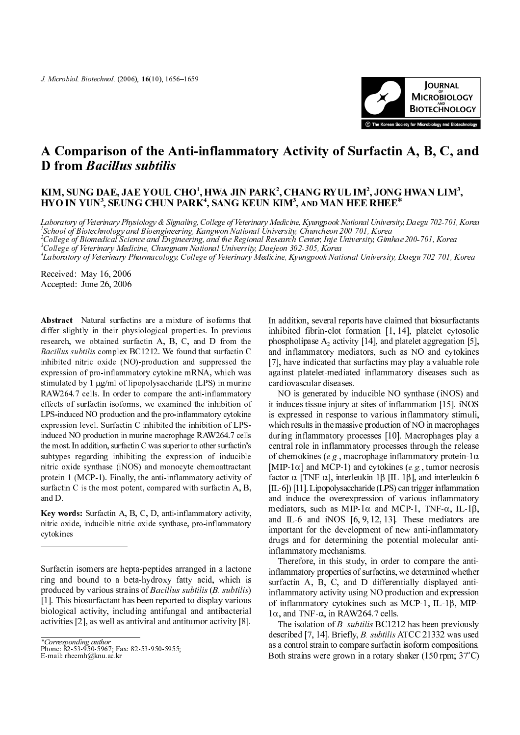

## *J. Microbiol. Biotechnol.* (2006), 16(10), 165<br>**A Comparison of the A**<br>**D from** *Bacillus subtilis J. Microbiol. Biotechnol.* (2006), 16(10), 1656–1659<br>**A Comparison of the Anti-1<br><b>D from** *Bacillus subtilis*<br>KIM, SUNG DAE, JAE YOUL CHO<sup>1</sup> inflammatory<br>, HWA JIN PARK<sup>2</sup> **Activity of Sur<br>
Reference Sure CHANG RYUL IM<sup>2</sup>** *J. Microbiol. Biotech*<br>**A Compar<br>D from** *Ba***<br><sup>KIM, SUNG D<br>HYO IN YUN<sup>3</sup>**</sup> *nol.* (2006), 16(10), 1656–1659<br> **ison of the Anti-ir<br>** *cillus subtilis***<br>
AE, JAE YO**UL CHO<sup>I</sup>, 1<br>
, SEUNG CHUN PARK<sup>4</sup> **iflammatory Ac**<br>HWA JIN PARK<sup>2</sup>, CH<br>5 SANG KEUN KIM<sup>3</sup> THE KOPEAN SOCKET CONTROLL IN THE KOPEAN SOCKET CONTROLL IN THE RHEE<sup>\*</sup> A Comparison of the Anti-inflammatory Activity of Surfactin A, B, C, and **D** from *Bacillus subtilis*

## KIM, SUNG DAE, JAE YOUL CHO<sup>1</sup>, HWA JIN PARK<sup>2</sup>, CHANG RYUL IM<sup>2</sup>, JONG HWAN LIM<sup>3</sup>, HYO IN YUN<sup>3</sup>, SEUNG CHUN PARK<sup>4</sup>, SANG KEUN KIM<sup>3</sup>, and MAN HEE RHEE\*

Laboratory of Veterinary Physiology & Signaling, College of Veterinary Medicine, Kyungpook National University, Daegu 702-701, Korea 1 School of Biotechnology and Bioengineering, Kangwon National University, Chuncheon 200-701, Korea 2 College of Biomedical Science and Engineering, and the Regional Research Center, Inje University, Gimhae 200-701, Korea

3 College of Veterinary Medicine, Chungnam National University, Daejeon 302-305, Korea

4 Laboratory of Veterinary Pharmacology, College of Veterinary Medicine, Kyungpook National University, Daegu 702-701, Korea

Received: May 16, 2006 Accepted: June 26, 2006

*J. Microbiol. Biotechnol.* (2006), 16(10), 1656–1659<br> **A. Comparison of the Anti-**<br> **D. from Bacillus subtilis**<br>
KIM, SUNG DAE, JAE YOUL CHO'<br>
HYO IN YUN', SEUNG CHUN PARI<br> *Laboratory of Veterinary Physiology & Signalin* Abstract Natural surfactins are a mixture of isoforms that differ slightly in their physiological properties. In previous research, we obtained surfactin A, B, C, and D from the Bacillus subtilis complex BC1212. We found that surfactin C inhibited nitric oxide (NO)-production and suppressed the expression of pro-inflammatory cytokine mRNA, which was stimulated by 1 µg/ml of lipopolysaccharide (LPS) in murine RAW264.7 cells. In order to compare the anti-inflammatory effects of surfactin isoforms, we examined the inhibition of LPS-induced NO production and the pro-inflammatory cytokine expression level. Surfactin C inhibited the inhibition of LPSinduced NO production in murine macrophage RAW264.7 cells the most. In addition, surfactin C was superior to other surfactin's subtypes regarding inhibiting the expression of inducible nitric oxide synthase (iNOS) and monocyte chemoattractant protein 1 (MCP-1). Finally, the anti-inflammatory activity of surfactin C is the most potent, compared with surfactin A, B, and D. *J. Microbiol. Biotechnol.* (2006), 16(10), 1656–1659<br> **A. Comparison of the Anti-inflammator**<br> **D. from Bacillus subtilis**<br> **KIM, SUNG DAE, JAE YOUL CHO<sup>1</sup>, HWA JIN INYO IN YUN<sup>8</sup>, SEUNG CHUN PARK<sup>4</sup>, SANG KI<br>** *Laborator* 

Key words: Surfactin A, B, C, D, anti-inflammatory activity, nitric oxide, inducible nitric oxide synthase, pro-inflammatory cytokines

 $E$ -mail: rheemh@knu.ac.kr

In addition, several reports have claimed that biosurfactants inhibited fibrin-clot formation [1, 14], platelet cytosolic phospholipase  $A_2$  activity [14], and platelet aggregation [5], and inflammatory mediators, such as NO and cytokines [7], have indicated that surfactins may play a valuable role against platelet-mediated inflammatory diseases such as cardiovascular diseases.

NO is generated by inducible NO synthase (iNOS) and it induces tissue injury at sites of inflammation [15]. iNOS is expressed in response to various inflammatory stimuli, which results in the massive production of NO in macrophages during inflammatory processes [10]. Macrophages play a central role in inflammatory processes through the release of chemokines (e.g., macrophage inflammatory protein-1 $\alpha$ [MIP-1 $\alpha$ ] and MCP-1) and cytokines (e.g., tumor necrosis factor-α [TNF-α], interleukin-1β [IL-1β], and interleukin-6 [IL-6]) [11]. Lipopolysaccharide (LPS) can trigger inflammation and induce the overexpression of various inflammatory mediators, such as MIP-1 $\alpha$  and MCP-1, TNF- $\alpha$ , IL-1 $\beta$ , and IL-6 and iNOS [6, 9, 12, 13]. These mediators are important for the development of new anti-inflammatory drugs and for determining the potential molecular antiinflammatory mechanisms.

Therefore, in this study, in order to compare the antiinflammatory properties of surfactins, we determined whether surfactin A, B, C, and D differentially displayed antiinflammatory activity using NO production and expression of inflammatory cytokines such as MCP-1, IL-1β, MIP-1α, and TNF-α, in RAW264.7 cells.

The isolation of *B. subtilis* BC1212 has been previously described [7, 14]. Briefly, B. subtilis ATCC 21332 was used as a control strain to compare surfactin isoform compositions. Both strains were grown in a rotary shaker (150 rpm;  $37^{\circ}$ C)

Surfactin isomers are hepta-peptides arranged in a lactone ring and bound to a beta-hydroxy fatty acid, which is produced by various strains of Bacillus subtilis (B. subtilis) [1]. This biosurfactant has been reported to display various biological activity, including antifungal and antibacterial activities [2], as well as antiviral and antitumor activity [8].

Phone:  $82-53-950-5967$ <br>E-mail: rheemh@knu.a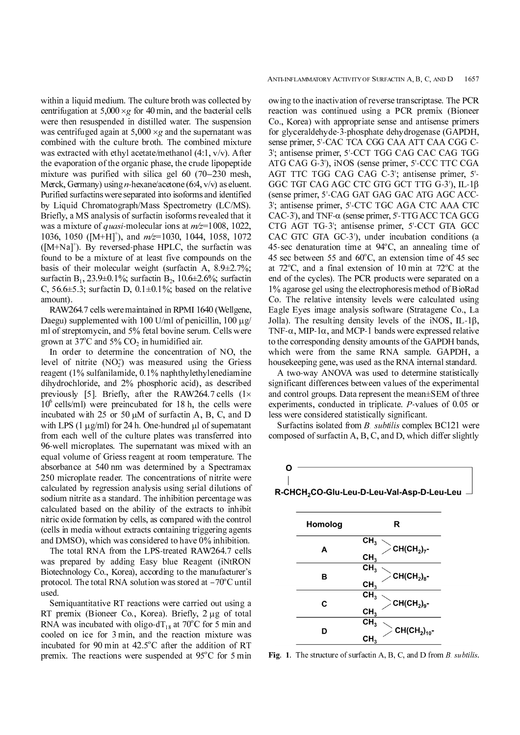within a liquid medium. The culture broth was collected by centrifugation at  $5,000 \times g$  for 40 min, and the bacterial cells were then resuspended in distilled water. The suspension was centrifuged again at  $5.000 \times g$  and the supernatant was combined with the culture broth. The combined mixture was extracted with ethyl acetate/methanol (4:1, v/v). After the evaporation of the organic phase, the crude lipopeptide mixture was purified with silica gel 60 (70–230 mesh,<br>Merck, Germany) using *n*-hexane/acetone (6:4, v/v) as eluent.<br>Purified surfactins were separated into isoforms and identified<br>by Liquid Chromatograph/Mass Spectrometry Merck, Germany) using *n*-hexane/acetone (6:4, v/v) as eluent. Purified surfactins were separated into isoforms and identified by Liquid Chromatograph/Mass Spectrometry (LC/MS). Briefly, a MS analysis of surfactin isoforms revealed that it was a mixture of *quasi*-molecular ions at  $m/z=1008$ , 1022, 1036, 1050 ( $[M+H]^{\dagger}$ ), and  $m/z=1030$ , 1044, 1058, 1072  $([M+Na]^{\dagger})$ . By reversed-phase HPLC, the surfactin was found to be a mixture of at least five compounds on the basis of their molecular weight (surfactin A, 8.9±2.7%; surfactin B<sub>1</sub>, 23.9 $\pm$ 0.1%; surfactin B<sub>2</sub>, 10.6 $\pm$ 2.6%; surfactin C,  $56.6\pm5.3$ ; surfactin D,  $0.1\pm0.1\%$ ; based on the relative amount).

RAW264.7 cells were maintained in RPMI 1640 (Wellgene, Daegu) supplemented with 100 U/ml of penicillin, 100  $\mu$ g/ ml of streptomycin, and 5% fetal bovine serum. Cells were grown at 37<sup>o</sup>C and 5%  $CO<sub>2</sub>$  in humidified air.

In order to determine the concentration of NO, the level of nitrite  $(NO<sub>2</sub>)$  was measured using the Griess<br>reggent (10/ sulfanilamide 0.10/ nephthulathulanediamine  $\frac{2}{n}$ reagent (1% sulfanilamide, 0.1% naphthylethylenediamine dihydrochloride, and 2% phosphoric acid), as described previously [5]. Briefly, after the RAW264.7 cells  $(1 \times$  $10<sup>6</sup>$  cells/ml) were preincubated for 18 h, the cells were incubated with 25 or 50  $\mu$ M of surfactin A, B, C, and D with LPS  $(1 \mu g/ml)$  for 24 h. One-hundred  $\mu l$  of supernatant from each well of the culture plates was transferred into 96-well microplates. The supernatant was mixed with an equal volume of Griess reagent at room temperature. The absorbance at 540 nm was determined by a Spectramax 250 microplate reader. The concentrations of nitrite were calculated by regression analysis using serial dilutions of sodium nitrite as a standard. The inhibition percentage was calculated based on the ability of the extracts to inhibit nitric oxide formation by cells, as compared with the control (cells in media without extracts containing triggering agents and DMSO), which was considered to have 0% inhibition.

The total RNA from the LPS-treated RAW264.7 cells was prepared by adding Easy blue Reagent (iNtRON Biotechnology Co., Korea), according to the manufacturer's protocol. The total RNA solution was stored at -70°C until<br>used.<br>Semiquantitative RT reactions were carried out using a<br>RT premix (Bioneer Co. Korea) Briefly 2 ug of total used.

Semiquantitative RT reactions were carried out using a RT premix (Bioneer Co., Korea). Briefly, 2 µg of total RNA was incubated with oligo-dT<sub>18</sub> at 70<sup>o</sup>C for 5 min and<br>cooled an iso for 2 min, and the reastion minture was cooled on ice for 3 min, and the reaction mixture was incubated for 90 min at  $42.5^{\circ}$ C after the addition of RT premix. The reactions were suspended at  $95^{\circ}$ C for 5 min

ANTI-INFLAMMATORY ACTIVITY OF SURFACTIN A, B, C, AND D 1657<br>
owing to the inactivation of reverse transcriptase. The PCR<br>
reaction was continued using a PCR premix (Bioneer<br>
Co., Korea) with appropriate sense and antisens owing to the inactivation of reverse transcriptase. The PCR reaction was continued using a PCR premix (Bioneer Co., Korea) with appropriate sense and antisense primers for glyceraldehyde-3-phosphate dehydrogenase (GAPDH, sense primer, 5'-CAC TCA CGG CAA ATT CAA CGG C-3'; antisense primer, 5'-CCT TGG CAG CAC CAG TGG ATG CAG G-3'), iNOS (sense primer, 5'-CCC TTC CGA AGT TTC TGG CAG CAG C-3'; antisense primer, 5'- GGC TGT CAG AGC CTC GTG GCT TTG G-3'), IL-1β (sense primer, 5'-CAG GAT GAG GAC ATG AGC ACC-3'; antisense primer, 5'-CTC TGC AGA CTC AAA CTC CAC-3'), and TNF- $\alpha$  (sense primer, 5'-TTG ACC TCA GCG CTG AGT TG-3'; antisense primer, 5'-CCT GTA GCC CAC GTC GTA GC-3'), under incubation conditions (a 45-sec denaturation time at  $94^{\circ}$ C, an annealing time of 45 sec between 55 and  $60^{\circ}$ C, an extension time of 45 sec at  $72^{\circ}$ C, and a final extension of 10 min at  $72^{\circ}$ C at the end of the cycles). The PCR products were separated on a 1% agarose gel using the electrophoresis method of BioRad Co. The relative intensity levels were calculated using Eagle Eyes image analysis software (Stratagene Co., La Jolla). The resulting density levels of the iNOS, IL-1β, TNF- $\alpha$ , MIP-1 $\alpha$ , and MCP-1 bands were expressed relative to the corresponding density amounts of the GAPDH bands, which were from the same RNA sample. GAPDH, a housekeeping gene, was used as the RNA internal standard.

A two-way ANOVA was used to determine statistically significant differences between values of the experimental and control groups. Data represent the mean±SEM of three experiments, conducted in triplicate. P-values of 0.05 or less were considered statistically significant.

Surfactins isolated from B. subtilis complex BC121 were composed of surfactin A, B, C, and D, which differ slightly



| Homolog | R                                                   |  |  |  |
|---------|-----------------------------------------------------|--|--|--|
| А       | CH <sub>3</sub><br>$CH(CH2)7$ -<br>CH <sub>3</sub>  |  |  |  |
| в       | CH <sub>3</sub><br>$CH(CH2)8$ -<br>CH <sub>3</sub>  |  |  |  |
| C       | CH <sub>3</sub><br>$CH(CH2)9$ -<br>CH <sub>3</sub>  |  |  |  |
| D       | CH <sub>3</sub><br>$CH(CH2)10$ -<br>CH <sub>3</sub> |  |  |  |

Fig. 1. The structure of surfactin A, B, C, and D from B. subtilis.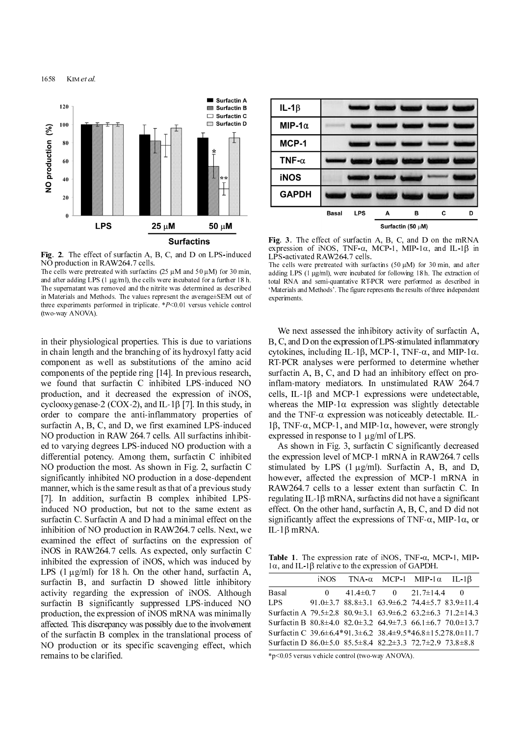1658 K<sub>IM</sub> et al.



Fig. 2. The effect of surfactin A, B, C, and D on LPS-induced NO production in RAW264.7 cells.

The cells were pretreated with surfactins (25  $\mu$ M and 50  $\mu$ M) for 30 min, and after adding LPS (1  $\mu$ g/ml), the cells were incubated for a further 18 h. The supernatant was removed and the nitrite was determined as described in Materials and Methods. The values represent the average±SEM out of three experiments performed in triplicate. \*P<0.01 versus vehicle control (two-way ANOVA).

1658 KIM *et al.*<br>
<sup>120</sup><br>
<sup>120</sup><br>
<sup>190</sup><br> **1 <sup>19</sup>**<br> **1 a**<br> **1 a**<br> **1 a**<br> **1 a**<br> **1 a**<br> **1 a**<br> **1 a**<br> **1 a**<br> **1 a**<br> **1 a**<br> **1 a**<br> **1 a**<br> **1 a**<br> **1 a**<br> **1 a**<br> **1 a**<br> **1 a**<br> **1 a**<br> **1 a** in their physiological properties. This is due to variations in chain length and the branching of its hydroxyl fatty acid component as well as substitutions of the amino acid components of the peptide ring [14]. In previous research, we found that surfactin C inhibited LPS-induced NO production, and it decreased the expression of iNOS, cyclooxygenase-2 (COX-2), and IL-1β [7]. In this study, in order to compare the anti-inflammatory properties of surfactin A, B, C, and D, we first examined LPS-induced NO production in RAW 264.7 cells. All surfactins inhibited to varying degrees LPS-induced NO production with a differential potency. Among them, surfactin C inhibited NO production the most. As shown in Fig. 2, surfactin C significantly inhibited NO production in a dose-dependent manner, which is the same result as that of a previous study [7]. In addition, surfactin B complex inhibited LPSinduced NO production, but not to the same extent as surfactin C. Surfactin A and D had a minimal effect on the inhibition of NO production in RAW264.7 cells. Next, we examined the effect of surfactins on the expression of iNOS in RAW264.7 cells. As expected, only surfactin C inhibited the expression of iNOS, which was induced by LPS  $(1 \mu g/ml)$  for 18 h. On the other hand, surfactin A, surfactin B, and surfactin D showed little inhibitory activity regarding the expression of iNOS. Although surfactin B significantly suppressed LPS-induced NO production, the expression of iNOS mRNA was minimally affected. This discrepancy was possibly due to the involvement of the surfactin B complex in the translational process of NO production or its specific scavenging effect, which remains to be clarified.



Fig. 3. The effect of surfactin A, B, C, and D on the mRNA expression of iNOS, TNF-α, MCP-1, MIP-1α, and IL-1β in LPS-activated RAW264.7 cells.

The cells were pretreated with surfactins  $(50 \text{ µ})$  for  $30 \text{ min}$ , and after adding LPS (1  $\mu$ g/ml), were incubated for following 18 h. The extraction of total RNA and semi-quantative RT-PCR were performed as described in 'Materials and Methods'. The figure represents the results of three independent experiments.

We next assessed the inhibitory activity of surfactin A, B, C, and D on the expression of LPS-stimulated inflammatory cytokines, including IL-1β, MCP-1, TNF-α, and MIP-1α. RT-PCR analyses were performed to determine whether surfactin A, B, C, and D had an inhibitory effect on proinflam-matory mediators. In unstimulated RAW 264.7 cells, IL-1 $\beta$  and MCP-1 expressions were undetectable, whereas the MIP-1 $\alpha$  expression was slightly detectable and the TNF- $\alpha$  expression was noticeably detectable. IL-1β, TNF-α, MCP-1, and MIP-1α, however, were strongly expressed in response to 1 ug/ml of LPS.

As shown in Fig. 3, surfactin C significantly decreased the expression level of MCP-1 mRNA in RAW264.7 cells stimulated by LPS  $(1 \mu g/ml)$ . Surfactin A, B, and D, however, affected the expression of MCP-1 mRNA in RAW264.7 cells to a lesser extent than surfactin C. In regulating IL-1β mRNA, surfactins did not have a significant effect. On the other hand, surfactin A, B, C, and D did not significantly affect the expressions of TNF- $\alpha$ , MIP-1 $\alpha$ , or IL-1β mRNA.

Table 1. The expression rate of iNOS, TNF- $\alpha$ , MCP-1, MIP-1α, and IL-1β relative to the expression of GAPDH.

|                                                                                         |  | iNOS TNA- $\alpha$ MCP-1 MIP-1 $\alpha$ IL-1 $\beta$                        |  |
|-----------------------------------------------------------------------------------------|--|-----------------------------------------------------------------------------|--|
| <b>Basal</b>                                                                            |  | $0 \t 41.4 \pm 0.7 \t 0 \t 21.7 \pm 14.4 \t 0$                              |  |
| LPS –                                                                                   |  | 91.0 $\pm$ 3.7 88.8 $\pm$ 3.1 63.9 $\pm$ 6.2 74.4 $\pm$ 5.7 83.9 $\pm$ 11.4 |  |
| Surfactin A $79.5\pm2.8$ $80.9\pm3.1$ $63.9\pm6.2$ $63.2\pm6.3$ $71.2\pm14.3$           |  |                                                                             |  |
| Surfactin B $80.8\pm4.0$ $82.0\pm3.2$ $64.9\pm7.3$ $66.1\pm6.7$ $70.0\pm13.7$           |  |                                                                             |  |
| Surfactin C 39.6 $\pm$ 6.4*91.3 $\pm$ 6.2 38.4 $\pm$ 9.5*46.8 $\pm$ 15.278.0 $\pm$ 11.7 |  |                                                                             |  |
| Surfactin D $86.0 \pm 5.0$ $85.5 \pm 8.4$ $82.2 \pm 3.3$ $72.7 \pm 2.9$ $73.8 \pm 8.8$  |  |                                                                             |  |

\*p<0.05 versus vehicle control (two-way ANOVA).